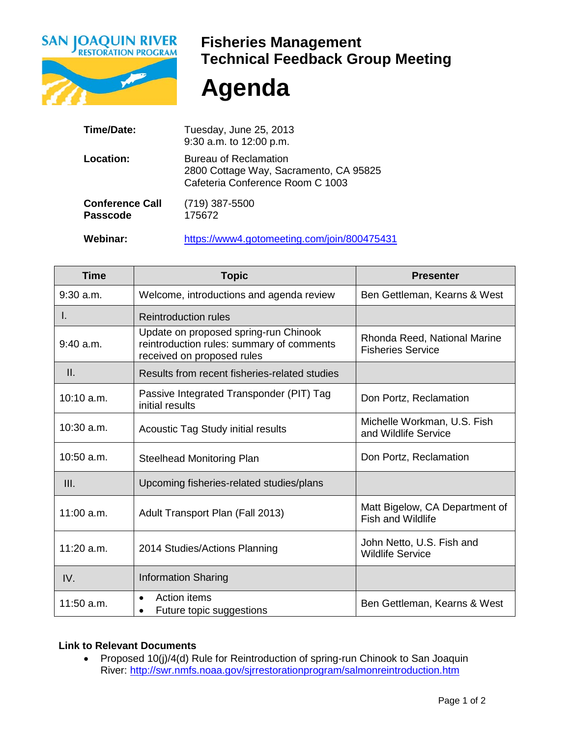

## **Fisheries Management Technical Feedback Group Meeting**

**Agenda**

| Time/Date:                                | Tuesday, June 25, 2013<br>9:30 a.m. to 12:00 p.m.                                                   |
|-------------------------------------------|-----------------------------------------------------------------------------------------------------|
| Location:                                 | Bureau of Reclamation<br>2800 Cottage Way, Sacramento, CA 95825<br>Cafeteria Conference Room C 1003 |
| <b>Conference Call</b><br><b>Passcode</b> | $(719)$ 387-5500<br>175672                                                                          |
| <b>Webinar:</b>                           | https://www4.gotomeeting.com/join/800475431                                                         |

| <b>Time</b>  | <b>Topic</b>                                                                                                     | <b>Presenter</b>                                           |
|--------------|------------------------------------------------------------------------------------------------------------------|------------------------------------------------------------|
| $9:30$ a.m.  | Welcome, introductions and agenda review                                                                         | Ben Gettleman, Kearns & West                               |
| L.           | <b>Reintroduction rules</b>                                                                                      |                                                            |
| $9:40$ a.m.  | Update on proposed spring-run Chinook<br>reintroduction rules: summary of comments<br>received on proposed rules | Rhonda Reed, National Marine<br><b>Fisheries Service</b>   |
| II.          | Results from recent fisheries-related studies                                                                    |                                                            |
| $10:10$ a.m. | Passive Integrated Transponder (PIT) Tag<br>initial results                                                      | Don Portz, Reclamation                                     |
| $10:30$ a.m. | <b>Acoustic Tag Study initial results</b>                                                                        | Michelle Workman, U.S. Fish<br>and Wildlife Service        |
| $10:50$ a.m. | <b>Steelhead Monitoring Plan</b>                                                                                 | Don Portz, Reclamation                                     |
| III.         | Upcoming fisheries-related studies/plans                                                                         |                                                            |
| $11:00$ a.m. | Adult Transport Plan (Fall 2013)                                                                                 | Matt Bigelow, CA Department of<br><b>Fish and Wildlife</b> |
| $11:20$ a.m. | 2014 Studies/Actions Planning                                                                                    | John Netto, U.S. Fish and<br><b>Wildlife Service</b>       |
| IV.          | <b>Information Sharing</b>                                                                                       |                                                            |
| 11:50 a.m.   | <b>Action items</b><br>Future topic suggestions                                                                  | Ben Gettleman, Kearns & West                               |

## **Link to Relevant Documents**

• Proposed 10(j)/4(d) Rule for Reintroduction of spring-run Chinook to San Joaquin River: <u>http://swr.nmfs.noaa.gov/sjrrestorationprogram/salmonreintroduction.htm</u>